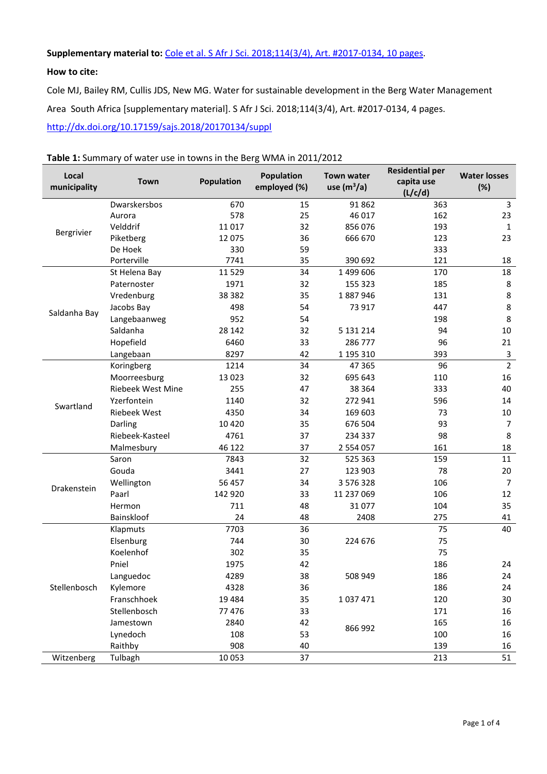### **Supplementary material to:** [Cole et al. S Afr J Sci. 2018;114\(3/4\),](http://dx.doi.org/10.17159/sajs.2018/20170134) Art. #2017-0134, 10 pages.

#### **How to cite:**

Cole MJ, Bailey RM, Cullis JDS, New MG. Water for sustainable development in the Berg Water Management Area South Africa [supplementary material]. S Afr J Sci. 2018;114(3/4), Art. #2017-0134, 4 pages. <http://dx.doi.org/10.17159/sajs.2018/20170134/suppl>

| Local<br>municipality | Town                     | <b>Population</b> | Population<br>employed (%) | <b>Town water</b><br>use $(m^3/a)$ | <b>Residential per</b><br>capita use | <b>Water losses</b><br>(%) |
|-----------------------|--------------------------|-------------------|----------------------------|------------------------------------|--------------------------------------|----------------------------|
|                       |                          |                   |                            |                                    | (L/c/d)                              |                            |
|                       | Dwarskersbos             | 670               | 15                         | 91 862                             | 363                                  | 3                          |
|                       | Aurora                   | 578               | 25                         | 46 017                             | 162                                  | 23                         |
| Bergrivier            | Velddrif                 | 11 017            | 32                         | 856 076                            | 193                                  | 1                          |
|                       | Piketberg                | 12 075            | 36                         | 666 670                            | 123                                  | 23                         |
|                       | De Hoek                  | 330               | 59                         |                                    | 333                                  |                            |
|                       | Porterville              | 7741              | 35                         | 390 692                            | 121                                  | 18                         |
|                       | St Helena Bay            | 11 5 29           | 34                         | 1 499 606                          | 170                                  | 18                         |
|                       | Paternoster              | 1971              | 32                         | 155 323                            | 185                                  | $\bf 8$                    |
|                       | Vredenburg               | 38 382            | 35                         | 1887946                            | 131                                  | 8                          |
| Saldanha Bay          | Jacobs Bay               | 498               | 54                         | 73 917                             | 447                                  | 8                          |
|                       | Langebaanweg             | 952               | 54                         |                                    | 198                                  | 8                          |
|                       | Saldanha                 | 28 142            | 32                         | 5 131 214                          | 94                                   | 10                         |
|                       | Hopefield                | 6460              | 33                         | 286 777                            | 96                                   | 21                         |
|                       | Langebaan                | 8297              | 42                         | 1 195 310                          | 393                                  | $\mathbf{3}$               |
| Swartland             | Koringberg               | 1214              | 34                         | 47 365                             | 96                                   | $\overline{2}$             |
|                       | Moorreesburg             | 13 0 23           | 32                         | 695 643                            | 110                                  | 16                         |
|                       | <b>Riebeek West Mine</b> | 255               | 47                         | 38 364                             | 333                                  | 40                         |
|                       | Yzerfontein              | 1140              | 32                         | 272 941                            | 596                                  | 14                         |
|                       | <b>Riebeek West</b>      | 4350              | 34                         | 169 603                            | 73                                   | 10                         |
|                       | Darling                  | 10 4 20           | 35                         | 676 504                            | 93                                   | $\overline{7}$             |
|                       | Riebeek-Kasteel          | 4761              | 37                         | 234 337                            | 98                                   | 8                          |
|                       | Malmesbury               | 46 122            | 37                         | 2 554 057                          | 161                                  | 18                         |
|                       | Saron                    | 7843              | 32                         | 525 363                            | 159                                  | 11                         |
|                       | Gouda                    | 3441              | 27                         | 123 903                            | 78                                   | 20                         |
| Drakenstein           | Wellington               | 56 457            | 34                         | 3 576 328                          | 106                                  | $\overline{7}$             |
|                       | Paarl                    | 142 920           | 33                         | 11 237 069                         | 106                                  | 12                         |
|                       | Hermon                   | 711               | 48                         | 31 077                             | 104                                  | 35                         |
|                       | Bainskloof               | 24                | 48                         | 2408                               | 275                                  | 41                         |
|                       | Klapmuts                 | 7703              | 36                         |                                    | 75                                   | 40                         |
|                       | Elsenburg                | 744               | 30                         | 224 676                            | 75                                   |                            |
|                       | Koelenhof                | 302               | 35                         |                                    | 75                                   |                            |
|                       | Pniel                    | 1975              | 42                         |                                    | 186                                  | 24                         |
|                       | Languedoc                | 4289              | 38                         | 508 949                            | 186                                  | 24                         |
| Stellenbosch          | Kylemore                 | 4328              | 36                         |                                    | 186                                  | 24                         |
|                       | Franschhoek              | 19 4 84           | 35                         | 1037471                            | 120                                  | 30                         |
|                       | Stellenbosch             | 77 476            | 33                         |                                    | 171                                  | 16                         |
|                       | Jamestown                | 2840              | 42                         |                                    | 165                                  | 16                         |
|                       | Lynedoch                 | 108               | 53                         | 866 992                            | 100                                  | 16                         |
|                       | Raithby                  | 908               | 40                         |                                    | 139                                  | 16                         |
| Witzenberg            | Tulbagh                  | 10 053            | 37                         |                                    | 213                                  | 51                         |

### **Table 1:** Summary of water use in towns in the Berg WMA in 2011/2012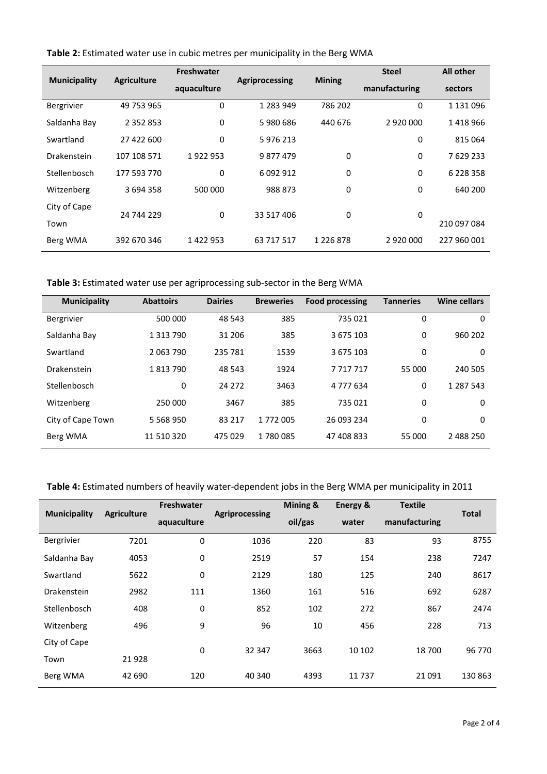|                     |                    | Freshwater  |                | <b>Mining</b> | <b>Steel</b>  | <b>All other</b> |
|---------------------|--------------------|-------------|----------------|---------------|---------------|------------------|
| <b>Municipality</b> | <b>Agriculture</b> | aquaculture | Agriprocessing |               | manufacturing | sectors          |
| Bergrivier          | 49 753 965         | $\mathbf 0$ | 1 283 949      | 786 202       | 0             | 1 131 096        |
| Saldanha Bay        | 2 3 5 2 8 5 3      | 0           | 5980686        | 440 676       | 2 920 000     | 1418966          |
| Swartland           | 27 422 600         | 0           | 5976213        |               | 0             | 815 064          |
| Drakenstein         | 107 108 571        | 1922953     | 9877479        | 0             | 0             | 7629233          |
| Stellenbosch        | 177 593 770        | $\Omega$    | 6 092 912      | 0             | 0             | 6 2 2 8 3 5 8    |
| Witzenberg          | 3 694 358          | 500 000     | 988 873        | 0             | 0             | 640 200          |
| City of Cape        | 24 744 229         | 0           | 33 517 406     | 0             | 0             |                  |
| Town                |                    |             |                |               |               | 210 097 084      |
| Berg WMA            | 392 670 346        | 1422953     | 63 717 517     | 1 2 2 6 8 7 8 | 2 920 000     | 227 960 001      |

**Table 2:** Estimated water use in cubic metres per municipality in the Berg WMA

**Table 3:** Estimated water use per agriprocessing sub-sector in the Berg WMA

| <b>Municipality</b> | <b>Abattoirs</b> | <b>Dairies</b> | <b>Breweries</b> | <b>Food processing</b> | <b>Tanneries</b> | <b>Wine cellars</b> |
|---------------------|------------------|----------------|------------------|------------------------|------------------|---------------------|
| <b>Bergrivier</b>   | 500 000          | 48 543         | 385              | 735 021                | 0                | 0                   |
| Saldanha Bay        | 1 3 1 3 7 9 0    | 31 206         | 385              | 3 675 103              | 0                | 960 202             |
| Swartland           | 2063790          | 235 781        | 1539             | 3 675 103              | 0                | 0                   |
| Drakenstein         | 1813790          | 48 543         | 1924             | 7717717                | 55 000           | 240 505             |
| Stellenbosch        | 0                | 24 272         | 3463             | 4 7 7 6 3 4            | $\Omega$         | 1 287 543           |
| Witzenberg          | 250 000          | 3467           | 385              | 735 021                | 0                | 0                   |
| City of Cape Town   | 5 5 6 8 9 5 0    | 83 217         | 1772005          | 26 093 234             | 0                | 0                   |
| Berg WMA            | 11 510 320       | 475 029        | 1780085          | 47 408 833             | 55 000           | 2 488 250           |

## **Table 4:** Estimated numbers of heavily water-dependent jobs in the Berg WMA per municipality in 2011

| <b>Municipality</b> | <b>Agriculture</b> | <b>Freshwater</b> | <b>Agriprocessing</b> | Mining & | Energy & | <b>Textile</b> | <b>Total</b> |  |
|---------------------|--------------------|-------------------|-----------------------|----------|----------|----------------|--------------|--|
|                     |                    | aquaculture       |                       | oil/gas  | water    | manufacturing  |              |  |
| Bergrivier          | 7201               | 0                 | 1036                  | 220      | 83       | 93             | 8755         |  |
| Saldanha Bay        | 4053               | 0                 | 2519                  | 57       | 154      | 238            | 7247         |  |
| Swartland           | 5622               | $\pmb{0}$         | 2129                  | 180      | 125      | 240            | 8617         |  |
| Drakenstein         | 2982               | 111               | 1360                  | 161      | 516      | 692            | 6287         |  |
| Stellenbosch        | 408                | 0                 | 852                   | 102      | 272      | 867            | 2474         |  |
| Witzenberg          | 496                | 9                 | 96                    | 10       | 456      | 228            | 713          |  |
| City of Cape        |                    | $\mathbf 0$       | 32 347                | 3663     | 10 102   | 18700          | 96 770       |  |
| Town                | 21928              |                   |                       |          |          |                |              |  |
| Berg WMA            | 42 690             | 120               | 40 340                | 4393     | 11737    | 21 0 91        | 130 863      |  |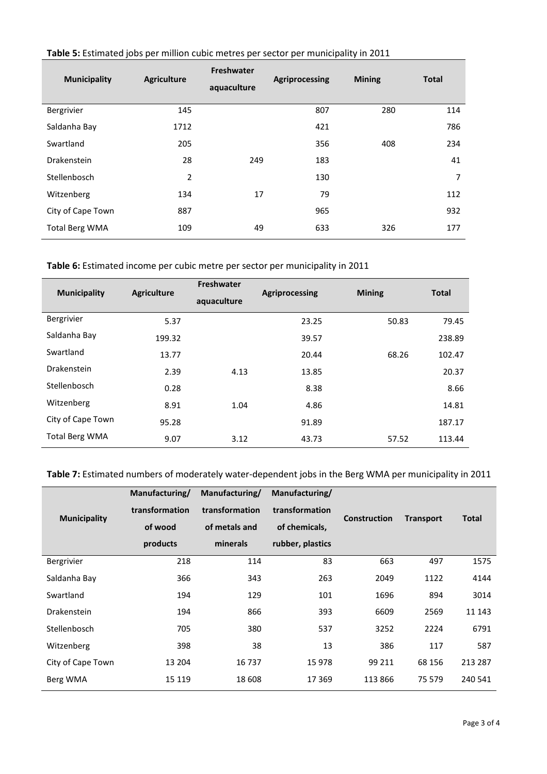| <b>Municipality</b>   | <b>Agriculture</b> | <b>Freshwater</b><br>aquaculture | Agriprocessing | <b>Mining</b> | <b>Total</b>   |
|-----------------------|--------------------|----------------------------------|----------------|---------------|----------------|
| Bergrivier            | 145                |                                  | 807            | 280           | 114            |
| Saldanha Bay          | 1712               |                                  | 421            |               | 786            |
| Swartland             | 205                |                                  | 356            | 408           | 234            |
| Drakenstein           | 28                 | 249                              | 183            |               | 41             |
| Stellenbosch          | $\overline{2}$     |                                  | 130            |               | $\overline{7}$ |
| Witzenberg            | 134                | 17                               | 79             |               | 112            |
| City of Cape Town     | 887                |                                  | 965            |               | 932            |
| <b>Total Berg WMA</b> | 109                | 49                               | 633            | 326           | 177            |

# **Table 5:** Estimated jobs per million cubic metres per sector per municipality in 2011

**Table 6:** Estimated income per cubic metre per sector per municipality in 2011

| <b>Municipality</b>   | <b>Agriculture</b> | <b>Freshwater</b><br>aquaculture | Agriprocessing | <b>Mining</b> | <b>Total</b> |
|-----------------------|--------------------|----------------------------------|----------------|---------------|--------------|
| Bergrivier            | 5.37               |                                  | 23.25          | 50.83         | 79.45        |
| Saldanha Bay          | 199.32             |                                  | 39.57          |               | 238.89       |
| Swartland             | 13.77              |                                  | 20.44          | 68.26         | 102.47       |
| Drakenstein           | 2.39               | 4.13                             | 13.85          |               | 20.37        |
| Stellenbosch          | 0.28               |                                  | 8.38           |               | 8.66         |
| Witzenberg            | 8.91               | 1.04                             | 4.86           |               | 14.81        |
| City of Cape Town     | 95.28              |                                  | 91.89          |               | 187.17       |
| <b>Total Berg WMA</b> | 9.07               | 3.12                             | 43.73          | 57.52         | 113.44       |

# **Table 7:** Estimated numbers of moderately water-dependent jobs in the Berg WMA per municipality in 2011

|                     | Manufacturing/ | Manufacturing/ | Manufacturing/   |                     |                  |              |
|---------------------|----------------|----------------|------------------|---------------------|------------------|--------------|
| <b>Municipality</b> | transformation | transformation | transformation   | <b>Construction</b> |                  | <b>Total</b> |
|                     | of wood        | of metals and  | of chemicals,    |                     | <b>Transport</b> |              |
|                     | products       | minerals       | rubber, plastics |                     |                  |              |
| Bergrivier          | 218            | 114            | 83               | 663                 | 497              | 1575         |
| Saldanha Bay        | 366            | 343            | 263              | 2049                | 1122             | 4144         |
| Swartland           | 194            | 129            | 101              | 1696                | 894              | 3014         |
| <b>Drakenstein</b>  | 194            | 866            | 393              | 6609                | 2569             | 11 143       |
| Stellenbosch        | 705            | 380            | 537              | 3252                | 2224             | 6791         |
| Witzenberg          | 398            | 38             | 13               | 386                 | 117              | 587          |
| City of Cape Town   | 13 204         | 16 737         | 15 978           | 99 211              | 68 156           | 213 287      |
| Berg WMA            | 15 1 19        | 18 608         | 17 3 69          | 113 866             | 75 579           | 240 541      |